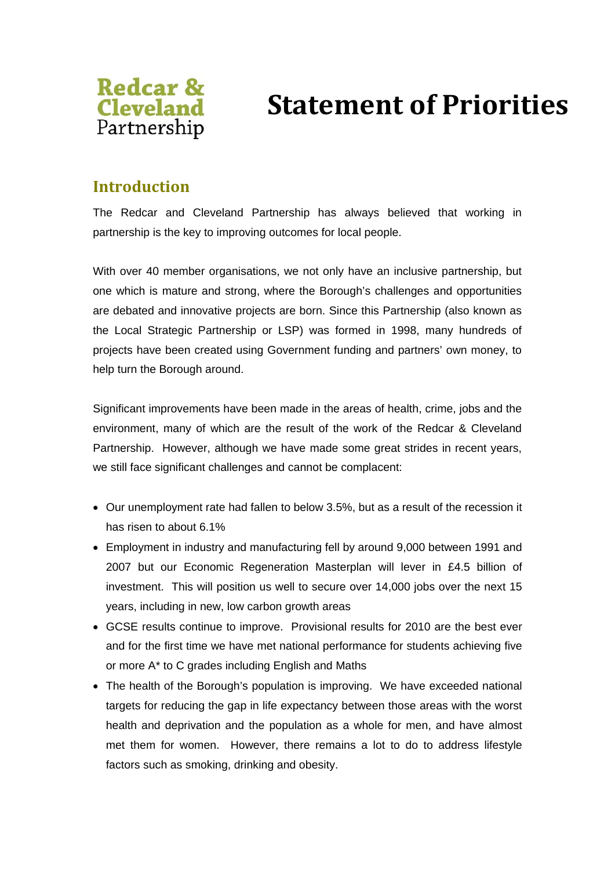

# **Statement of Priorities**

### **Introduction**

The Redcar and Cleveland Partnership has always believed that working in partnership is the key to improving outcomes for local people.

With over 40 member organisations, we not only have an inclusive partnership, but one which is mature and strong, where the Borough's challenges and opportunities are debated and innovative projects are born. Since this Partnership (also known as the Local Strategic Partnership or LSP) was formed in 1998, many hundreds of projects have been created using Government funding and partners' own money, to help turn the Borough around.

Significant improvements have been made in the areas of health, crime, jobs and the environment, many of which are the result of the work of the Redcar & Cleveland Partnership. However, although we have made some great strides in recent years, we still face significant challenges and cannot be complacent:

- Our unemployment rate had fallen to below 3.5%, but as a result of the recession it has risen to about 6.1%
- Employment in industry and manufacturing fell by around 9,000 between 1991 and 2007 but our Economic Regeneration Masterplan will lever in £4.5 billion of investment. This will position us well to secure over 14,000 jobs over the next 15 years, including in new, low carbon growth areas
- GCSE results continue to improve. Provisional results for 2010 are the best ever and for the first time we have met national performance for students achieving five or more A\* to C grades including English and Maths
- The health of the Borough's population is improving. We have exceeded national targets for reducing the gap in life expectancy between those areas with the worst health and deprivation and the population as a whole for men, and have almost met them for women. However, there remains a lot to do to address lifestyle factors such as smoking, drinking and obesity.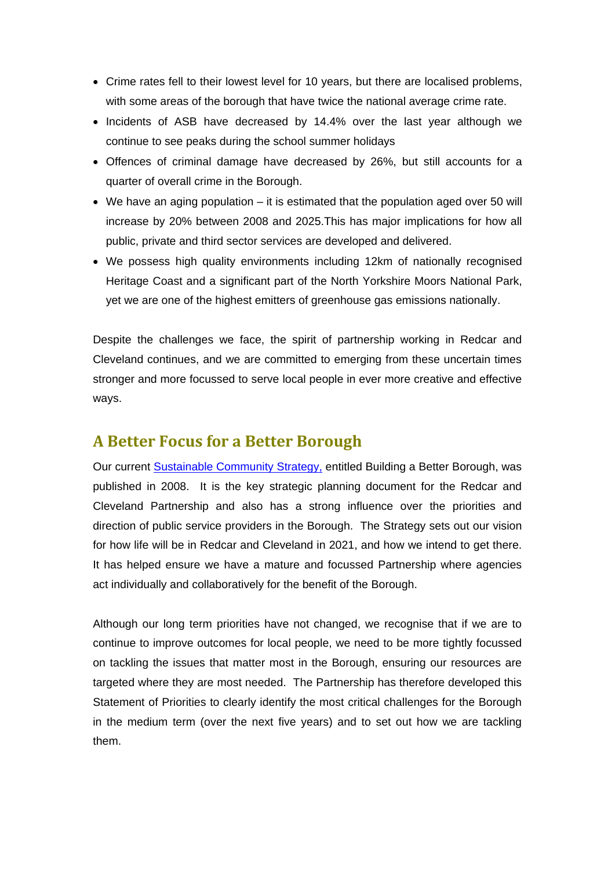- Crime rates fell to their lowest level for 10 years, but there are localised problems, with some areas of the borough that have twice the national average crime rate.
- Incidents of ASB have decreased by 14.4% over the last year although we continue to see peaks during the school summer holidays
- Offences of criminal damage have decreased by 26%, but still accounts for a quarter of overall crime in the Borough.
- We have an aging population it is estimated that the population aged over 50 will increase by 20% between 2008 and 2025.This has major implications for how all public, private and third sector services are developed and delivered.
- We possess high quality environments including 12km of nationally recognised Heritage Coast and a significant part of the North Yorkshire Moors National Park, yet we are one of the highest emitters of greenhouse gas emissions nationally.

Despite the challenges we face, the spirit of partnership working in Redcar and Cleveland continues, and we are committed to emerging from these uncertain times stronger and more focussed to serve local people in ever more creative and effective ways.

## **A Better Focus for a Better Borough**

Our current Sustainable Community Strategy, entitled Building a Better Borough, was published in 2008. It is the key strategic planning document for the Redcar and Cleveland Partnership and also has a strong influence over the priorities and direction of public service providers in the Borough. The Strategy sets out our vision for how life will be in Redcar and Cleveland in 2021, and how we intend to get there. It has helped ensure we have a mature and focussed Partnership where agencies act individually and collaboratively for the benefit of the Borough.

Although our long term priorities have not changed, we recognise that if we are to continue to improve outcomes for local people, we need to be more tightly focussed on tackling the issues that matter most in the Borough, ensuring our resources are targeted where they are most needed. The Partnership has therefore developed this Statement of Priorities to clearly identify the most critical challenges for the Borough in the medium term (over the next five years) and to set out how we are tackling them.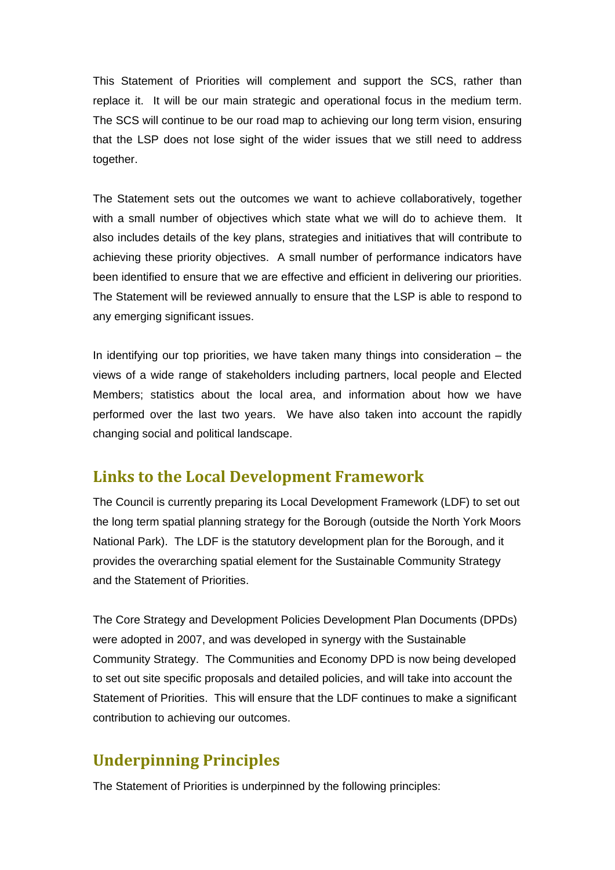This Statement of Priorities will complement and support the SCS, rather than replace it. It will be our main strategic and operational focus in the medium term. The SCS will continue to be our road map to achieving our long term vision, ensuring that the LSP does not lose sight of the wider issues that we still need to address together.

The Statement sets out the outcomes we want to achieve collaboratively, together with a small number of objectives which state what we will do to achieve them. It also includes details of the key plans, strategies and initiatives that will contribute to achieving these priority objectives. A small number of performance indicators have been identified to ensure that we are effective and efficient in delivering our priorities. The Statement will be reviewed annually to ensure that the LSP is able to respond to any emerging significant issues.

In identifying our top priorities, we have taken many things into consideration  $-$  the views of a wide range of stakeholders including partners, local people and Elected Members; statistics about the local area, and information about how we have performed over the last two years. We have also taken into account the rapidly changing social and political landscape.

### **Links to the Local Development Framework**

The Council is currently preparing its Local Development Framework (LDF) to set out the long term spatial planning strategy for the Borough (outside the North York Moors National Park). The LDF is the statutory development plan for the Borough, and it provides the overarching spatial element for the Sustainable Community Strategy and the Statement of Priorities.

The Core Strategy and Development Policies Development Plan Documents (DPDs) were adopted in 2007, and was developed in synergy with the Sustainable Community Strategy. The Communities and Economy DPD is now being developed to set out site specific proposals and detailed policies, and will take into account the Statement of Priorities. This will ensure that the LDF continues to make a significant contribution to achieving our outcomes.

# **Underpinning Principles**

The Statement of Priorities is underpinned by the following principles: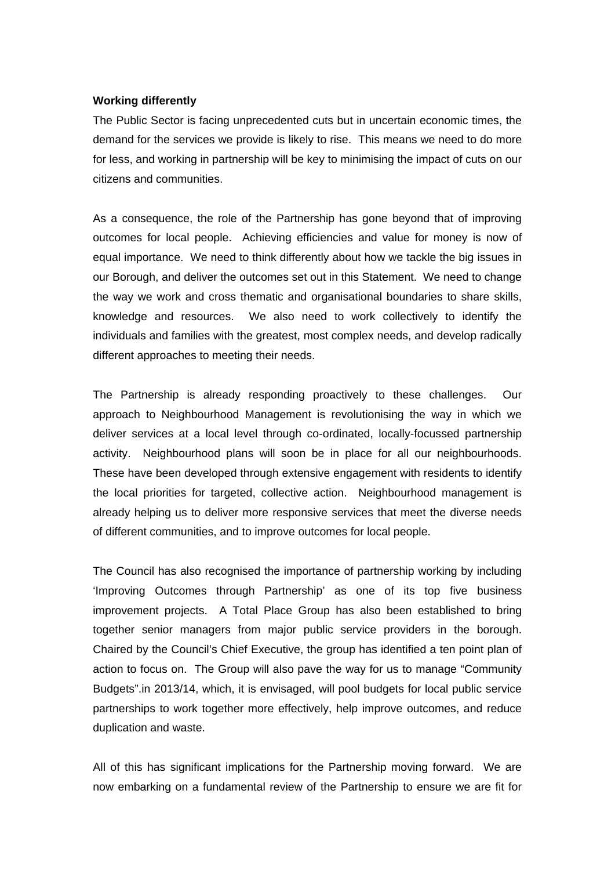#### **Working differently**

The Public Sector is facing unprecedented cuts but in uncertain economic times, the demand for the services we provide is likely to rise. This means we need to do more for less, and working in partnership will be key to minimising the impact of cuts on our citizens and communities.

As a consequence, the role of the Partnership has gone beyond that of improving outcomes for local people. Achieving efficiencies and value for money is now of equal importance. We need to think differently about how we tackle the big issues in our Borough, and deliver the outcomes set out in this Statement. We need to change the way we work and cross thematic and organisational boundaries to share skills, knowledge and resources. We also need to work collectively to identify the individuals and families with the greatest, most complex needs, and develop radically different approaches to meeting their needs.

The Partnership is already responding proactively to these challenges. Our approach to Neighbourhood Management is revolutionising the way in which we deliver services at a local level through co-ordinated, locally-focussed partnership activity. Neighbourhood plans will soon be in place for all our neighbourhoods. These have been developed through extensive engagement with residents to identify the local priorities for targeted, collective action. Neighbourhood management is already helping us to deliver more responsive services that meet the diverse needs of different communities, and to improve outcomes for local people.

The Council has also recognised the importance of partnership working by including 'Improving Outcomes through Partnership' as one of its top five business improvement projects. A Total Place Group has also been established to bring together senior managers from major public service providers in the borough. Chaired by the Council's Chief Executive, the group has identified a ten point plan of action to focus on. The Group will also pave the way for us to manage "Community Budgets".in 2013/14, which, it is envisaged, will pool budgets for local public service partnerships to work together more effectively, help improve outcomes, and reduce duplication and waste.

All of this has significant implications for the Partnership moving forward. We are now embarking on a fundamental review of the Partnership to ensure we are fit for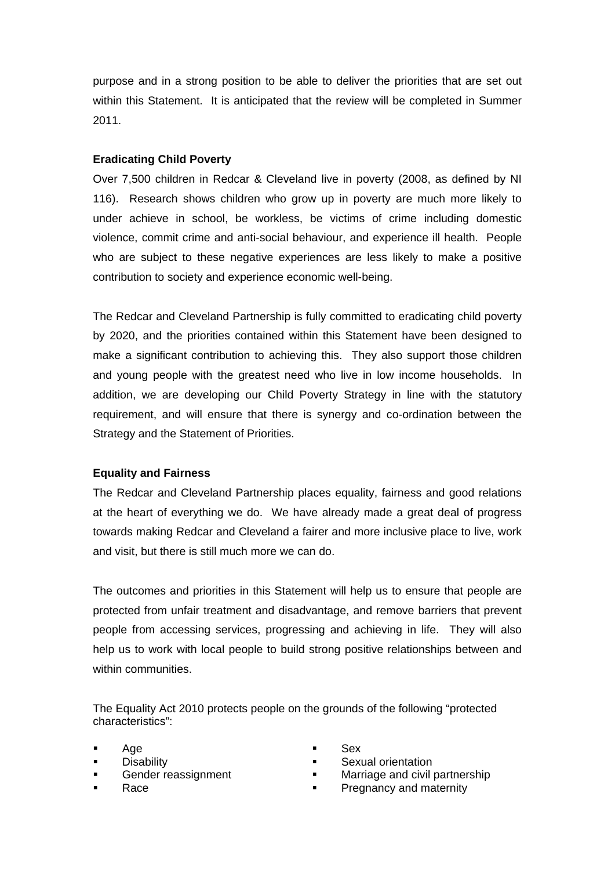purpose and in a strong position to be able to deliver the priorities that are set out within this Statement. It is anticipated that the review will be completed in Summer 2011.

### **Eradicating Child Poverty**

Over 7,500 children in Redcar & Cleveland live in poverty (2008, as defined by NI 116). Research shows children who grow up in poverty are much more likely to under achieve in school, be workless, be victims of crime including domestic violence, commit crime and anti-social behaviour, and experience ill health. People who are subject to these negative experiences are less likely to make a positive contribution to society and experience economic well-being.

The Redcar and Cleveland Partnership is fully committed to eradicating child poverty by 2020, and the priorities contained within this Statement have been designed to make a significant contribution to achieving this. They also support those children and young people with the greatest need who live in low income households. In addition, we are developing our Child Poverty Strategy in line with the statutory requirement, and will ensure that there is synergy and co-ordination between the Strategy and the Statement of Priorities.

### **Equality and Fairness**

The Redcar and Cleveland Partnership places equality, fairness and good relations at the heart of everything we do. We have already made a great deal of progress towards making Redcar and Cleveland a fairer and more inclusive place to live, work and visit, but there is still much more we can do.

The outcomes and priorities in this Statement will help us to ensure that people are protected from unfair treatment and disadvantage, and remove barriers that prevent people from accessing services, progressing and achieving in life. They will also help us to work with local people to build strong positive relationships between and within communities.

The Equality Act 2010 protects people on the grounds of the following "protected characteristics":

- Age
- **Disability**
- Gender reassignment
- Race
- Sex
- Sexual orientation
- Marriage and civil partnership
- Pregnancy and maternity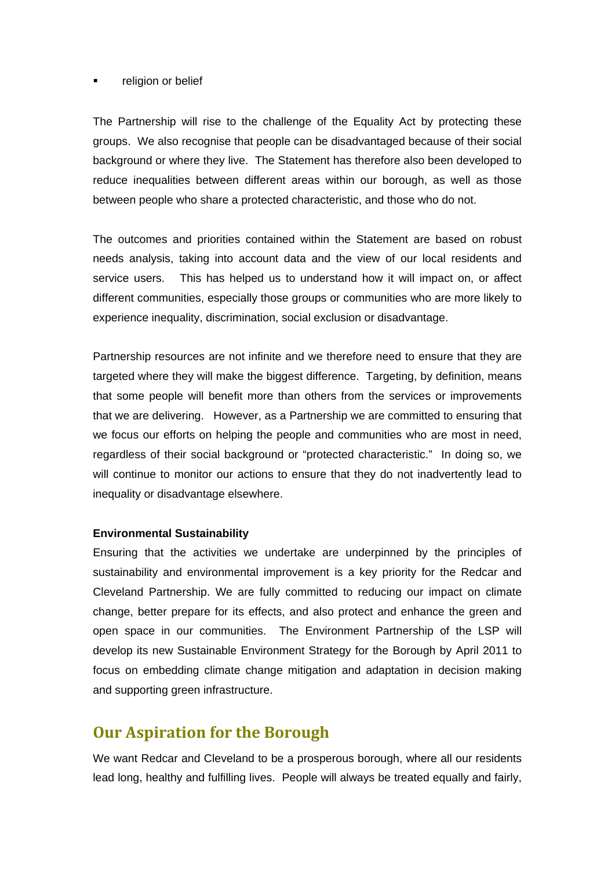#### religion or belief

The Partnership will rise to the challenge of the Equality Act by protecting these groups. We also recognise that people can be disadvantaged because of their social background or where they live. The Statement has therefore also been developed to reduce inequalities between different areas within our borough, as well as those between people who share a protected characteristic, and those who do not.

The outcomes and priorities contained within the Statement are based on robust needs analysis, taking into account data and the view of our local residents and service users. This has helped us to understand how it will impact on, or affect different communities, especially those groups or communities who are more likely to experience inequality, discrimination, social exclusion or disadvantage.

Partnership resources are not infinite and we therefore need to ensure that they are targeted where they will make the biggest difference. Targeting, by definition, means that some people will benefit more than others from the services or improvements that we are delivering. However, as a Partnership we are committed to ensuring that we focus our efforts on helping the people and communities who are most in need, regardless of their social background or "protected characteristic." In doing so, we will continue to monitor our actions to ensure that they do not inadvertently lead to inequality or disadvantage elsewhere.

### **Environmental Sustainability**

Ensuring that the activities we undertake are underpinned by the principles of sustainability and environmental improvement is a key priority for the Redcar and Cleveland Partnership. We are fully committed to reducing our impact on climate change, better prepare for its effects, and also protect and enhance the green and open space in our communities. The Environment Partnership of the LSP will develop its new Sustainable Environment Strategy for the Borough by April 2011 to focus on embedding climate change mitigation and adaptation in decision making and supporting green infrastructure.

# **Our Aspiration for the Borough**

We want Redcar and Cleveland to be a prosperous borough, where all our residents lead long, healthy and fulfilling lives. People will always be treated equally and fairly,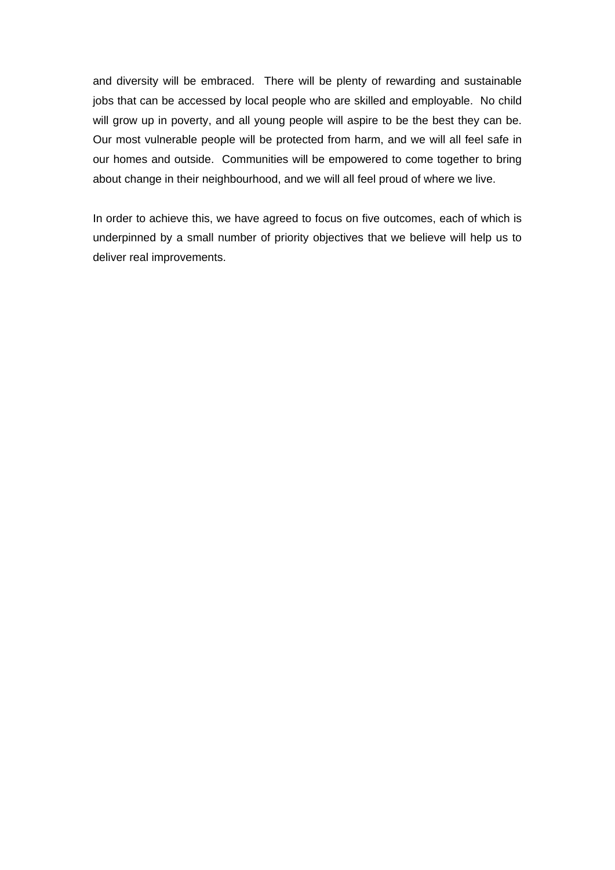and diversity will be embraced. There will be plenty of rewarding and sustainable jobs that can be accessed by local people who are skilled and employable. No child will grow up in poverty, and all young people will aspire to be the best they can be. Our most vulnerable people will be protected from harm, and we will all feel safe in our homes and outside. Communities will be empowered to come together to bring about change in their neighbourhood, and we will all feel proud of where we live.

In order to achieve this, we have agreed to focus on five outcomes, each of which is underpinned by a small number of priority objectives that we believe will help us to deliver real improvements.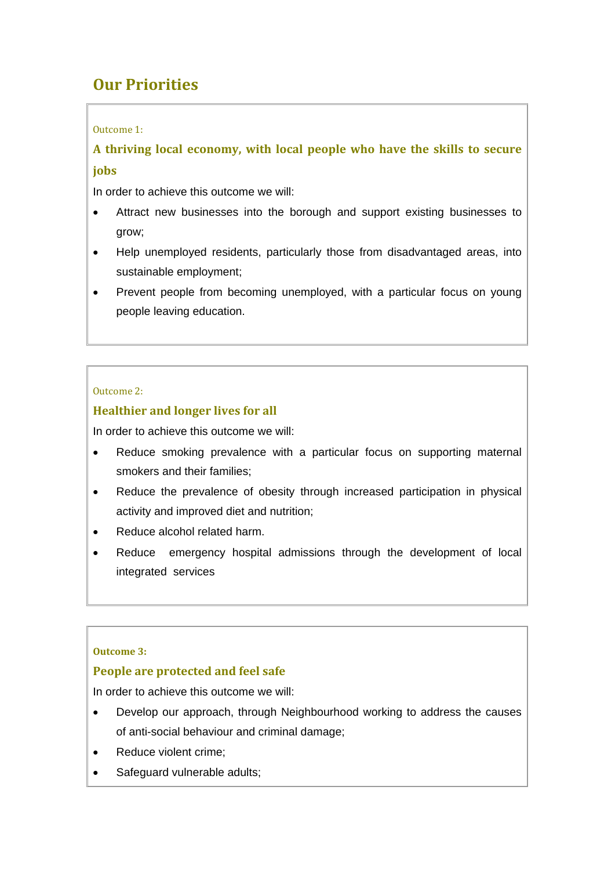# **Our Priorities**

### Outcome 1:

**A thriving local economy, with local people who have the skills to secure jobs**

In order to achieve this outcome we will:

- Attract new businesses into the borough and support existing businesses to grow;
- Help unemployed residents, particularly those from disadvantaged areas, into sustainable employment;
- Prevent people from becoming unemployed, with a particular focus on young people leaving education.

### Outcome 2:

### **Healthier and longer lives for all**

In order to achieve this outcome we will:

- Reduce smoking prevalence with a particular focus on supporting maternal smokers and their families;
- Reduce the prevalence of obesity through increased participation in physical activity and improved diet and nutrition;
- Reduce alcohol related harm.
- Reduce emergency hospital admissions through the development of local integrated services

### **Outcome 3:**

### **People are protected and feel safe**

In order to achieve this outcome we will:

- Develop our approach, through Neighbourhood working to address the causes of anti-social behaviour and criminal damage;
- Reduce violent crime;
- Safeguard vulnerable adults;